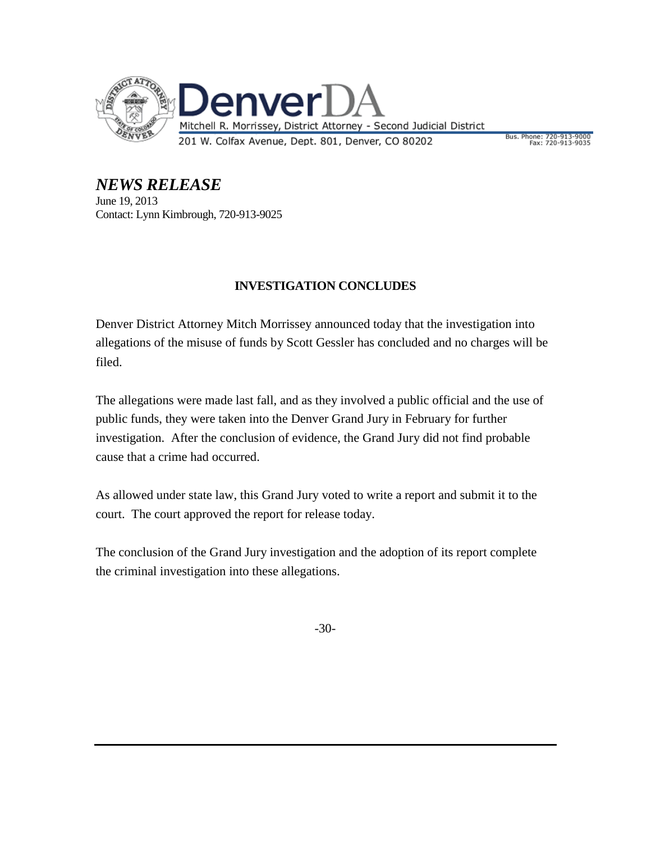

Bus. Phone: 720-913-9000<br>Fax: 720-913-9035

*NEWS RELEASE* June 19, 2013 Contact: Lynn Kimbrough, 720-913-9025

## **INVESTIGATION CONCLUDES**

Denver District Attorney Mitch Morrissey announced today that the investigation into allegations of the misuse of funds by Scott Gessler has concluded and no charges will be filed.

The allegations were made last fall, and as they involved a public official and the use of public funds, they were taken into the Denver Grand Jury in February for further investigation. After the conclusion of evidence, the Grand Jury did not find probable cause that a crime had occurred.

As allowed under state law, this Grand Jury voted to write a report and submit it to the court. The court approved the report for release today.

The conclusion of the Grand Jury investigation and the adoption of its report complete the criminal investigation into these allegations.

-30-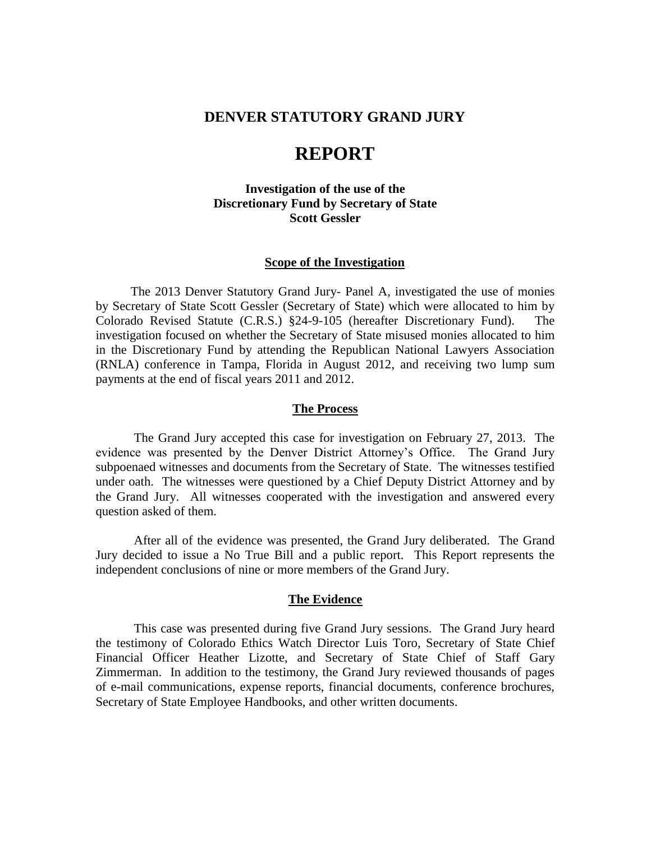## **DENVER STATUTORY GRAND JURY**

# **REPORT**

## **Investigation of the use of the Discretionary Fund by Secretary of State Scott Gessler**

## **Scope of the Investigation**

 The 2013 Denver Statutory Grand Jury- Panel A, investigated the use of monies by Secretary of State Scott Gessler (Secretary of State) which were allocated to him by Colorado Revised Statute (C.R.S.) §24-9-105 (hereafter Discretionary Fund). The investigation focused on whether the Secretary of State misused monies allocated to him in the Discretionary Fund by attending the Republican National Lawyers Association (RNLA) conference in Tampa, Florida in August 2012, and receiving two lump sum payments at the end of fiscal years 2011 and 2012.

#### **The Process**

The Grand Jury accepted this case for investigation on February 27, 2013. The evidence was presented by the Denver District Attorney's Office. The Grand Jury subpoenaed witnesses and documents from the Secretary of State. The witnesses testified under oath. The witnesses were questioned by a Chief Deputy District Attorney and by the Grand Jury. All witnesses cooperated with the investigation and answered every question asked of them.

After all of the evidence was presented, the Grand Jury deliberated. The Grand Jury decided to issue a No True Bill and a public report. This Report represents the independent conclusions of nine or more members of the Grand Jury.

#### **The Evidence**

 This case was presented during five Grand Jury sessions. The Grand Jury heard the testimony of Colorado Ethics Watch Director Luis Toro, Secretary of State Chief Financial Officer Heather Lizotte, and Secretary of State Chief of Staff Gary Zimmerman. In addition to the testimony, the Grand Jury reviewed thousands of pages of e-mail communications, expense reports, financial documents, conference brochures, Secretary of State Employee Handbooks, and other written documents.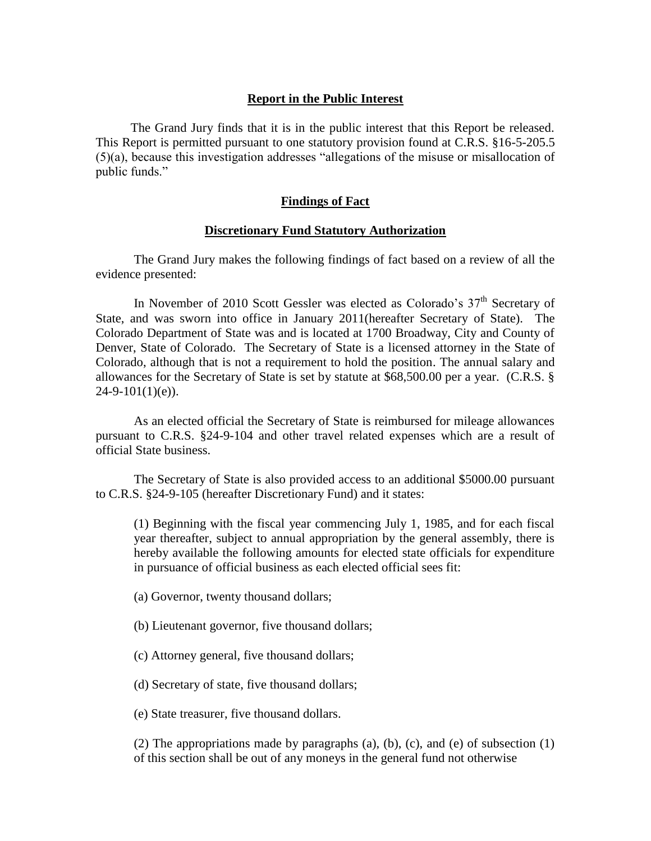## **Report in the Public Interest**

 The Grand Jury finds that it is in the public interest that this Report be released. This Report is permitted pursuant to one statutory provision found at C.R.S. §16-5-205.5 (5)(a), because this investigation addresses "allegations of the misuse or misallocation of public funds."

## **Findings of Fact**

## **Discretionary Fund Statutory Authorization**

The Grand Jury makes the following findings of fact based on a review of all the evidence presented:

In November of 2010 Scott Gessler was elected as Colorado's  $37<sup>th</sup>$  Secretary of State, and was sworn into office in January 2011(hereafter Secretary of State). The Colorado Department of State was and is located at 1700 Broadway, City and County of Denver, State of Colorado. The Secretary of State is a licensed attorney in the State of Colorado, although that is not a requirement to hold the position. The annual salary and allowances for the Secretary of State is set by statute at \$68,500.00 per a year. (C.R.S. §  $24-9-101(1)(e)$ ).

As an elected official the Secretary of State is reimbursed for mileage allowances pursuant to C.R.S. §24-9-104 and other travel related expenses which are a result of official State business.

The Secretary of State is also provided access to an additional \$5000.00 pursuant to C.R.S. §24-9-105 (hereafter Discretionary Fund) and it states:

(1) Beginning with the fiscal year commencing July 1, 1985, and for each fiscal year thereafter, subject to annual appropriation by the general assembly, there is hereby available the following amounts for elected state officials for expenditure in pursuance of official business as each elected official sees fit:

(a) Governor, twenty thousand dollars;

(b) Lieutenant governor, five thousand dollars;

(c) Attorney general, five thousand dollars;

(d) Secretary of state, five thousand dollars;

(e) State treasurer, five thousand dollars.

(2) The appropriations made by paragraphs (a), (b), (c), and (e) of subsection (1) of this section shall be out of any moneys in the general fund not otherwise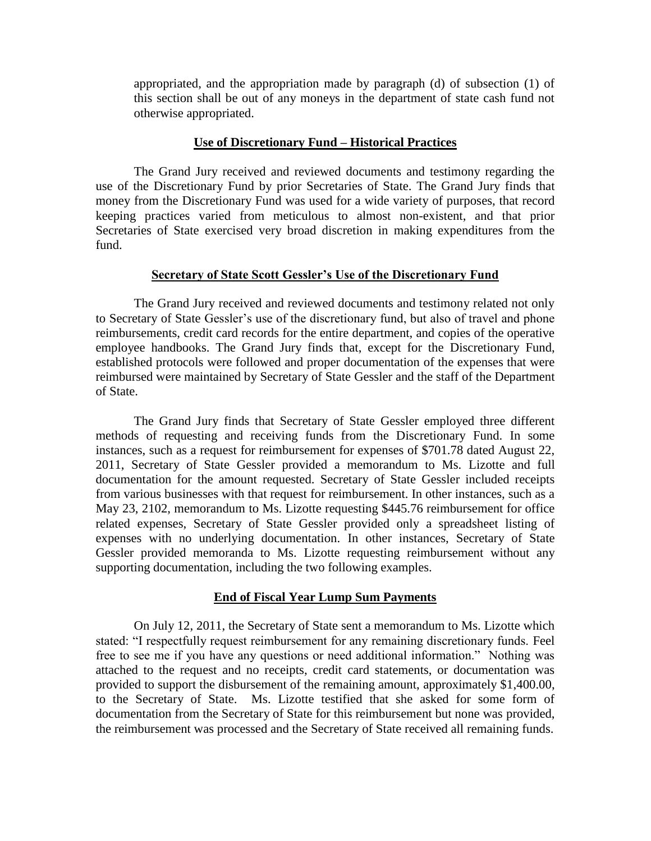appropriated, and the appropriation made by paragraph (d) of subsection (1) of this section shall be out of any moneys in the department of state cash fund not otherwise appropriated.

## **Use of Discretionary Fund – Historical Practices**

The Grand Jury received and reviewed documents and testimony regarding the use of the Discretionary Fund by prior Secretaries of State. The Grand Jury finds that money from the Discretionary Fund was used for a wide variety of purposes, that record keeping practices varied from meticulous to almost non-existent, and that prior Secretaries of State exercised very broad discretion in making expenditures from the fund.

## **Secretary of State Scott Gessler's Use of the Discretionary Fund**

The Grand Jury received and reviewed documents and testimony related not only to Secretary of State Gessler's use of the discretionary fund, but also of travel and phone reimbursements, credit card records for the entire department, and copies of the operative employee handbooks. The Grand Jury finds that, except for the Discretionary Fund, established protocols were followed and proper documentation of the expenses that were reimbursed were maintained by Secretary of State Gessler and the staff of the Department of State.

The Grand Jury finds that Secretary of State Gessler employed three different methods of requesting and receiving funds from the Discretionary Fund. In some instances, such as a request for reimbursement for expenses of \$701.78 dated August 22, 2011, Secretary of State Gessler provided a memorandum to Ms. Lizotte and full documentation for the amount requested. Secretary of State Gessler included receipts from various businesses with that request for reimbursement. In other instances, such as a May 23, 2102, memorandum to Ms. Lizotte requesting \$445.76 reimbursement for office related expenses, Secretary of State Gessler provided only a spreadsheet listing of expenses with no underlying documentation. In other instances, Secretary of State Gessler provided memoranda to Ms. Lizotte requesting reimbursement without any supporting documentation, including the two following examples.

#### **End of Fiscal Year Lump Sum Payments**

On July 12, 2011, the Secretary of State sent a memorandum to Ms. Lizotte which stated: "I respectfully request reimbursement for any remaining discretionary funds. Feel free to see me if you have any questions or need additional information." Nothing was attached to the request and no receipts, credit card statements, or documentation was provided to support the disbursement of the remaining amount, approximately \$1,400.00, to the Secretary of State. Ms. Lizotte testified that she asked for some form of documentation from the Secretary of State for this reimbursement but none was provided, the reimbursement was processed and the Secretary of State received all remaining funds.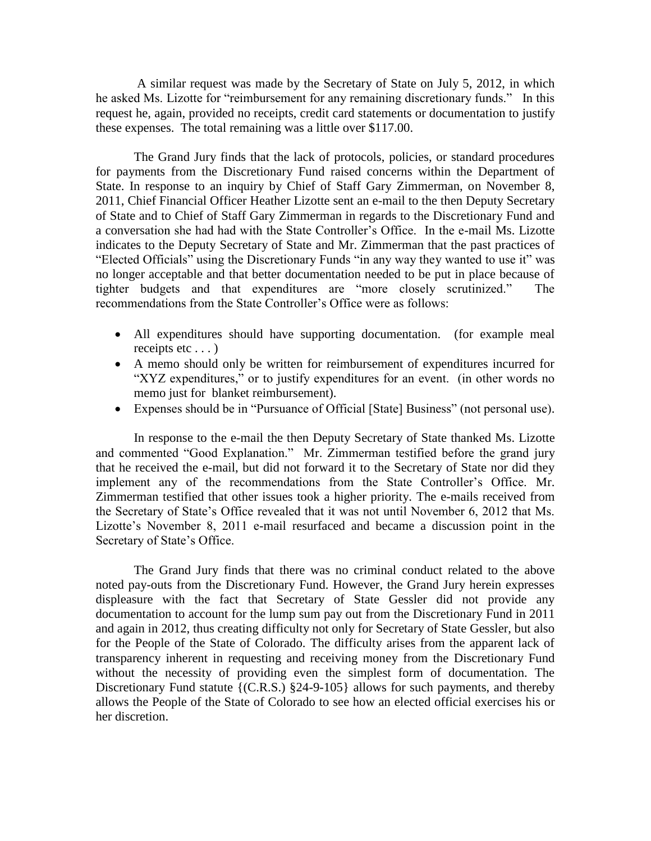A similar request was made by the Secretary of State on July 5, 2012, in which he asked Ms. Lizotte for "reimbursement for any remaining discretionary funds." In this request he, again, provided no receipts, credit card statements or documentation to justify these expenses. The total remaining was a little over \$117.00.

The Grand Jury finds that the lack of protocols, policies, or standard procedures for payments from the Discretionary Fund raised concerns within the Department of State. In response to an inquiry by Chief of Staff Gary Zimmerman, on November 8, 2011, Chief Financial Officer Heather Lizotte sent an e-mail to the then Deputy Secretary of State and to Chief of Staff Gary Zimmerman in regards to the Discretionary Fund and a conversation she had had with the State Controller's Office. In the e-mail Ms. Lizotte indicates to the Deputy Secretary of State and Mr. Zimmerman that the past practices of "Elected Officials" using the Discretionary Funds "in any way they wanted to use it" was no longer acceptable and that better documentation needed to be put in place because of tighter budgets and that expenditures are "more closely scrutinized." The recommendations from the State Controller's Office were as follows:

- All expenditures should have supporting documentation. (for example meal receipts etc . . . )
- A memo should only be written for reimbursement of expenditures incurred for "XYZ expenditures," or to justify expenditures for an event. (in other words no memo just for blanket reimbursement).
- Expenses should be in "Pursuance of Official [State] Business" (not personal use).

In response to the e-mail the then Deputy Secretary of State thanked Ms. Lizotte and commented "Good Explanation." Mr. Zimmerman testified before the grand jury that he received the e-mail, but did not forward it to the Secretary of State nor did they implement any of the recommendations from the State Controller's Office. Mr. Zimmerman testified that other issues took a higher priority. The e-mails received from the Secretary of State's Office revealed that it was not until November 6, 2012 that Ms. Lizotte's November 8, 2011 e-mail resurfaced and became a discussion point in the Secretary of State's Office.

The Grand Jury finds that there was no criminal conduct related to the above noted pay-outs from the Discretionary Fund. However, the Grand Jury herein expresses displeasure with the fact that Secretary of State Gessler did not provide any documentation to account for the lump sum pay out from the Discretionary Fund in 2011 and again in 2012, thus creating difficulty not only for Secretary of State Gessler, but also for the People of the State of Colorado. The difficulty arises from the apparent lack of transparency inherent in requesting and receiving money from the Discretionary Fund without the necessity of providing even the simplest form of documentation. The Discretionary Fund statute {(C.R.S.) §24-9-105} allows for such payments, and thereby allows the People of the State of Colorado to see how an elected official exercises his or her discretion.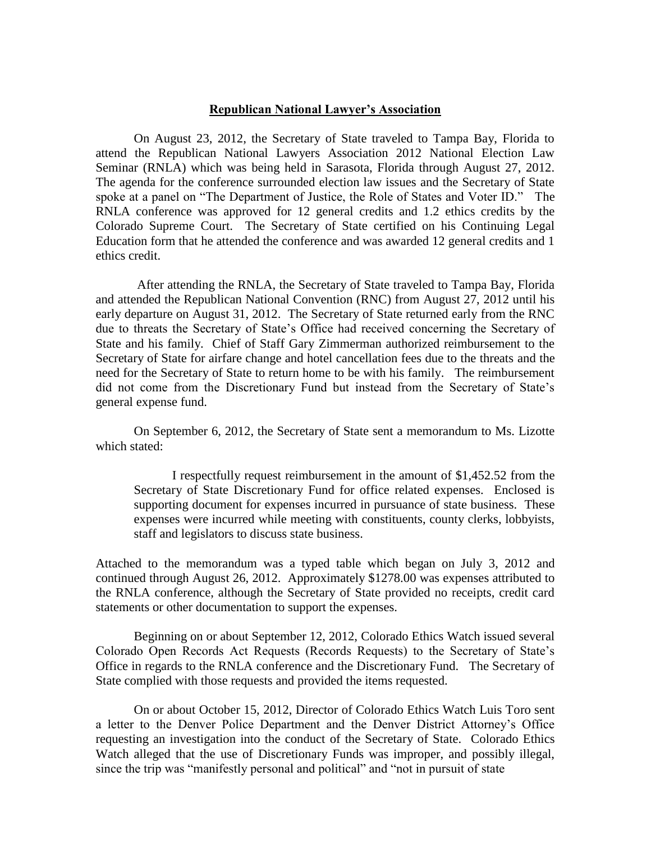## **Republican National Lawyer's Association**

On August 23, 2012, the Secretary of State traveled to Tampa Bay, Florida to attend the Republican National Lawyers Association 2012 National Election Law Seminar (RNLA) which was being held in Sarasota, Florida through August 27, 2012. The agenda for the conference surrounded election law issues and the Secretary of State spoke at a panel on "The Department of Justice, the Role of States and Voter ID." The RNLA conference was approved for 12 general credits and 1.2 ethics credits by the Colorado Supreme Court. The Secretary of State certified on his Continuing Legal Education form that he attended the conference and was awarded 12 general credits and 1 ethics credit.

After attending the RNLA, the Secretary of State traveled to Tampa Bay, Florida and attended the Republican National Convention (RNC) from August 27, 2012 until his early departure on August 31, 2012. The Secretary of State returned early from the RNC due to threats the Secretary of State's Office had received concerning the Secretary of State and his family. Chief of Staff Gary Zimmerman authorized reimbursement to the Secretary of State for airfare change and hotel cancellation fees due to the threats and the need for the Secretary of State to return home to be with his family. The reimbursement did not come from the Discretionary Fund but instead from the Secretary of State's general expense fund.

On September 6, 2012, the Secretary of State sent a memorandum to Ms. Lizotte which stated:

I respectfully request reimbursement in the amount of \$1,452.52 from the Secretary of State Discretionary Fund for office related expenses. Enclosed is supporting document for expenses incurred in pursuance of state business. These expenses were incurred while meeting with constituents, county clerks, lobbyists, staff and legislators to discuss state business.

Attached to the memorandum was a typed table which began on July 3, 2012 and continued through August 26, 2012. Approximately \$1278.00 was expenses attributed to the RNLA conference, although the Secretary of State provided no receipts, credit card statements or other documentation to support the expenses.

Beginning on or about September 12, 2012, Colorado Ethics Watch issued several Colorado Open Records Act Requests (Records Requests) to the Secretary of State's Office in regards to the RNLA conference and the Discretionary Fund. The Secretary of State complied with those requests and provided the items requested.

On or about October 15, 2012, Director of Colorado Ethics Watch Luis Toro sent a letter to the Denver Police Department and the Denver District Attorney's Office requesting an investigation into the conduct of the Secretary of State. Colorado Ethics Watch alleged that the use of Discretionary Funds was improper, and possibly illegal, since the trip was "manifestly personal and political" and "not in pursuit of state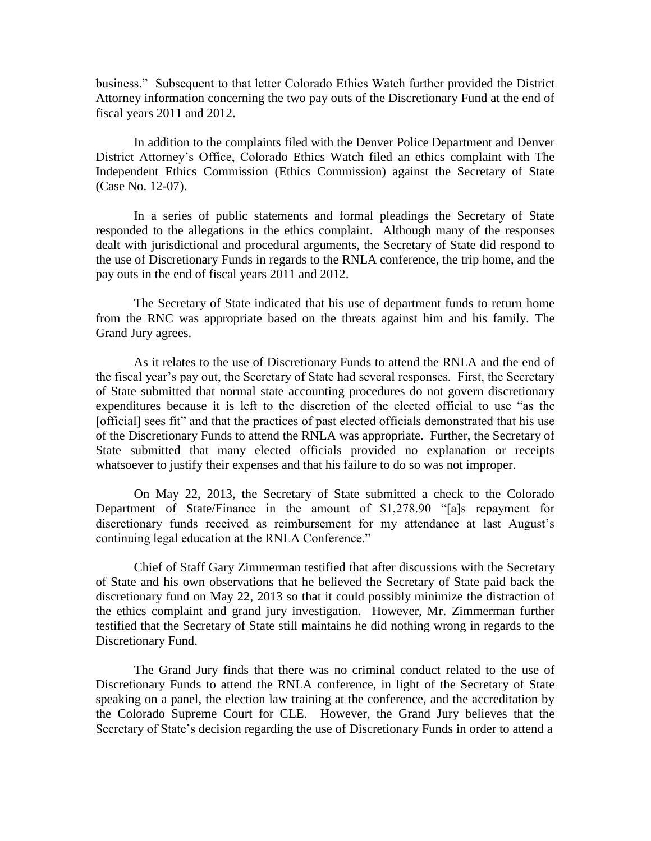business." Subsequent to that letter Colorado Ethics Watch further provided the District Attorney information concerning the two pay outs of the Discretionary Fund at the end of fiscal years 2011 and 2012.

In addition to the complaints filed with the Denver Police Department and Denver District Attorney's Office, Colorado Ethics Watch filed an ethics complaint with The Independent Ethics Commission (Ethics Commission) against the Secretary of State (Case No. 12-07).

In a series of public statements and formal pleadings the Secretary of State responded to the allegations in the ethics complaint. Although many of the responses dealt with jurisdictional and procedural arguments, the Secretary of State did respond to the use of Discretionary Funds in regards to the RNLA conference, the trip home, and the pay outs in the end of fiscal years 2011 and 2012.

The Secretary of State indicated that his use of department funds to return home from the RNC was appropriate based on the threats against him and his family. The Grand Jury agrees.

As it relates to the use of Discretionary Funds to attend the RNLA and the end of the fiscal year's pay out, the Secretary of State had several responses. First, the Secretary of State submitted that normal state accounting procedures do not govern discretionary expenditures because it is left to the discretion of the elected official to use "as the [official] sees fit" and that the practices of past elected officials demonstrated that his use of the Discretionary Funds to attend the RNLA was appropriate. Further, the Secretary of State submitted that many elected officials provided no explanation or receipts whatsoever to justify their expenses and that his failure to do so was not improper.

On May 22, 2013, the Secretary of State submitted a check to the Colorado Department of State/Finance in the amount of \$1,278.90 "[a]s repayment for discretionary funds received as reimbursement for my attendance at last August's continuing legal education at the RNLA Conference."

Chief of Staff Gary Zimmerman testified that after discussions with the Secretary of State and his own observations that he believed the Secretary of State paid back the discretionary fund on May 22, 2013 so that it could possibly minimize the distraction of the ethics complaint and grand jury investigation. However, Mr. Zimmerman further testified that the Secretary of State still maintains he did nothing wrong in regards to the Discretionary Fund.

The Grand Jury finds that there was no criminal conduct related to the use of Discretionary Funds to attend the RNLA conference, in light of the Secretary of State speaking on a panel, the election law training at the conference, and the accreditation by the Colorado Supreme Court for CLE. However, the Grand Jury believes that the Secretary of State's decision regarding the use of Discretionary Funds in order to attend a